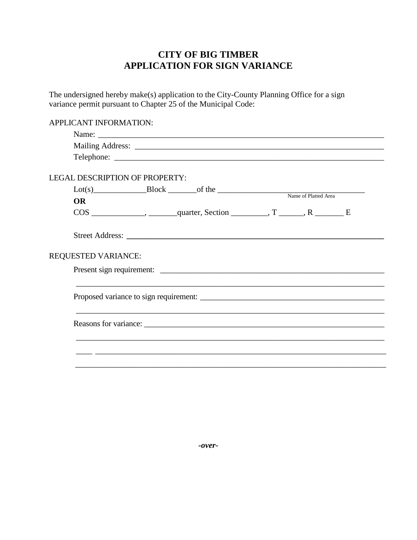## **CITY OF BIG TIMBER APPLICATION FOR SIGN VARIANCE**

The undersigned hereby make(s) application to the City-County Planning Office for a sign variance permit pursuant to Chapter 25 of the Municipal Code:

 $\text{Lot(s)}$   $\begin{array}{|l|} \text{Dot(s)} \end{array}$   $\begin{array}{|l|} \text{Block} \end{array}$   $\begin{array}{|l|} \text{of the} \end{array}$   $\begin{array}{|l|} \text{Name of Platted Area} \end{array}$ APPLICANT INFORMATION: Name: Mailing Address: \_\_\_\_\_\_\_\_\_\_\_\_\_\_\_\_\_\_\_\_\_\_\_\_\_\_\_\_\_\_\_\_\_\_\_\_\_\_\_\_\_\_\_\_\_\_\_\_\_\_\_\_\_\_\_\_\_\_\_\_\_ Telephone: \_\_\_\_\_\_\_\_\_\_\_\_\_\_\_\_\_\_\_\_\_\_\_\_\_\_\_\_\_\_\_\_\_\_\_\_\_\_\_\_\_\_\_\_\_\_\_\_\_\_\_\_\_\_\_\_\_\_\_\_\_\_\_\_\_\_ LEGAL DESCRIPTION OF PROPERTY: **OR**  $\cos \frac{\pi x}{2}$ , \_\_\_\_\_\_\_\_, \_\_\_\_\_\_\_\_\_\_\_\_\_\_\_, Section \_\_\_\_\_\_\_\_\_\_, T \_\_\_\_\_\_, R \_\_\_\_\_\_\_\_\_ E Street Address: REQUESTED VARIANCE: Present sign requirement: \_\_\_\_\_\_\_\_\_\_\_\_\_\_\_\_\_\_\_\_\_\_\_\_\_\_\_\_\_\_\_\_\_\_\_\_\_\_\_\_\_\_\_\_\_\_\_\_\_\_\_\_\_\_\_\_ \_\_\_\_\_\_\_\_\_\_\_\_\_\_\_\_\_\_\_\_\_\_\_\_\_\_\_\_\_\_\_\_\_\_\_\_\_\_\_\_\_\_\_\_\_\_\_\_\_\_\_\_\_\_\_\_\_\_\_\_\_\_\_\_\_\_\_\_\_\_\_\_\_\_\_\_\_ Proposed variance to sign requirement:  $\_$  , and the set of the set of the set of the set of the set of the set of the set of the set of the set of the set of the set of the set of the set of the set of the set of the set of the set of the set of the set of th Reasons for variance: \_\_\_\_\_\_\_\_\_\_\_\_\_\_\_\_\_\_\_\_\_\_\_\_\_\_\_\_\_\_\_\_\_\_\_\_\_\_\_\_\_\_\_\_\_\_\_\_\_\_\_\_\_\_\_\_\_\_\_\_\_\_\_\_\_\_\_\_\_\_\_\_\_\_\_\_\_ \_\_\_\_ \_\_\_\_\_\_\_\_\_\_\_\_\_\_\_\_\_\_\_\_\_\_\_\_\_\_\_\_\_\_\_\_\_\_\_\_\_\_\_\_\_\_\_\_\_\_\_\_\_\_\_\_\_\_\_\_\_\_\_\_\_\_\_\_\_\_\_\_\_\_\_\_\_ \_\_\_\_\_\_\_\_\_\_\_\_\_\_\_\_\_\_\_\_\_\_\_\_\_\_\_\_\_\_\_\_\_\_\_\_\_\_\_\_\_\_\_\_\_\_\_\_\_\_\_\_\_\_\_\_\_\_\_\_\_\_\_\_\_\_\_\_\_\_\_\_\_\_\_\_\_\_